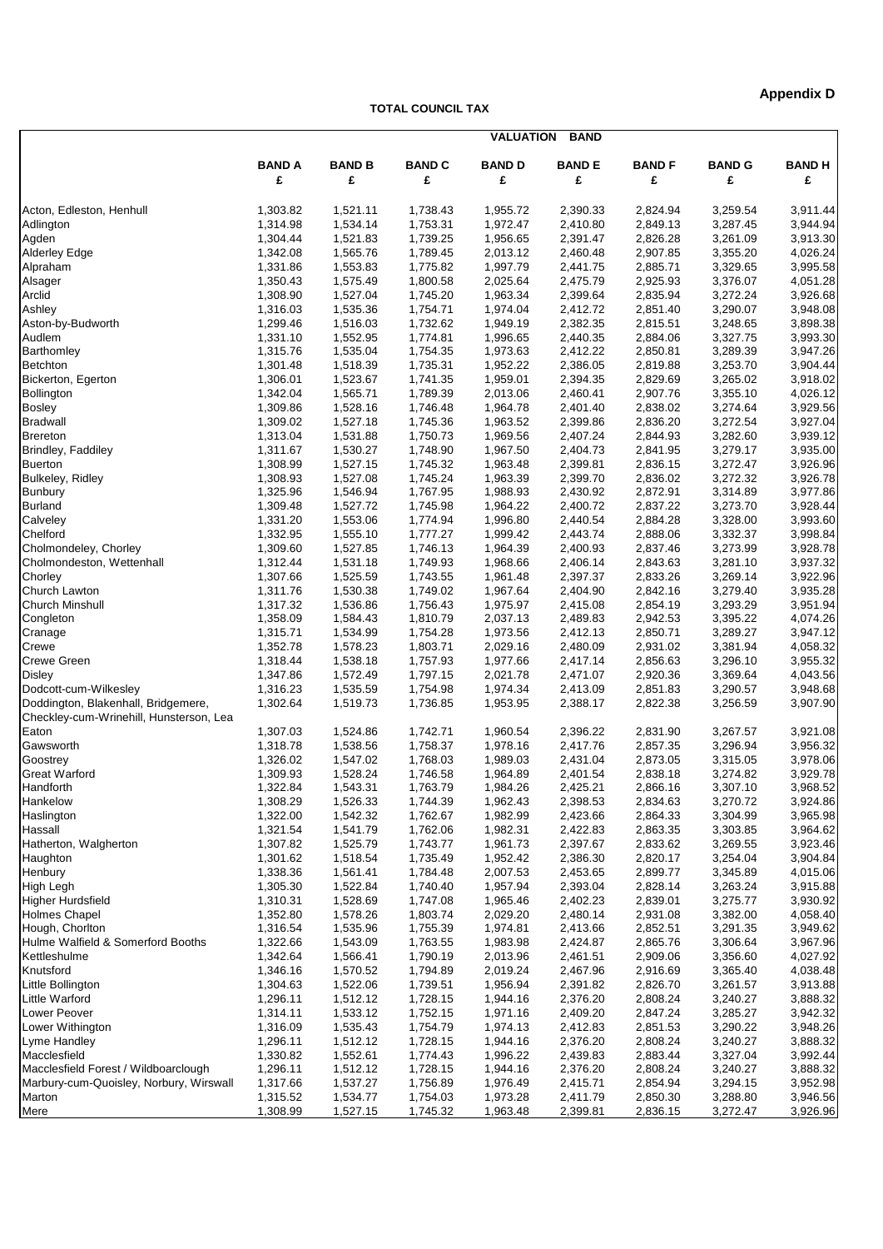## **Appendix D**

**TOTAL COUNCIL TAX**

|                                         | <b>VALUATION</b><br><b>BAND</b> |                      |               |                      |              |                      |               |                      |  |  |
|-----------------------------------------|---------------------------------|----------------------|---------------|----------------------|--------------|----------------------|---------------|----------------------|--|--|
|                                         | <b>BAND A</b>                   | <b>BAND B</b>        | <b>BAND C</b> | <b>BAND D</b>        | <b>BANDE</b> | <b>BAND F</b>        | <b>BAND G</b> | <b>BANDH</b>         |  |  |
|                                         | £                               | £                    | £             | £                    | £            | £                    | £             | £                    |  |  |
| Acton, Edleston, Henhull                | 1,303.82                        | 1,521.11             | 1,738.43      | 1,955.72             | 2,390.33     | 2,824.94             | 3,259.54      | 3,911.44             |  |  |
| Adlington                               | 1,314.98                        | 1,534.14             | 1,753.31      | 1,972.47             | 2,410.80     | 2,849.13             | 3,287.45      | 3,944.94             |  |  |
| Agden                                   | 1,304.44                        | 1,521.83             | 1,739.25      | 1,956.65             | 2,391.47     | 2,826.28             | 3,261.09      | 3,913.30             |  |  |
| <b>Alderley Edge</b>                    | 1,342.08                        | 1,565.76             | 1,789.45      | 2,013.12             | 2,460.48     | 2,907.85             | 3,355.20      | 4,026.24             |  |  |
| Alpraham                                | 1,331.86                        | 1,553.83             | 1,775.82      | 1,997.79             | 2,441.75     | 2,885.71             | 3,329.65      | 3,995.58             |  |  |
| Alsager                                 | 1,350.43                        | 1,575.49             | 1,800.58      | 2,025.64             | 2,475.79     | 2,925.93             | 3,376.07      | 4,051.28             |  |  |
| Arclid                                  | 1,308.90                        | 1,527.04             | 1,745.20      | 1,963.34             | 2,399.64     | 2,835.94             | 3,272.24      | 3,926.68             |  |  |
| Ashley                                  | 1,316.03                        | 1,535.36             | 1,754.71      | 1,974.04             | 2,412.72     | 2,851.40             | 3,290.07      | 3,948.08             |  |  |
| Aston-by-Budworth                       | 1,299.46                        | 1,516.03             | 1,732.62      | 1,949.19             | 2,382.35     | 2,815.51             | 3,248.65      | 3,898.38             |  |  |
| Audlem                                  |                                 |                      |               | 1,996.65             | 2,440.35     | 2,884.06             |               | 3,993.30             |  |  |
|                                         | 1,331.10                        | 1,552.95             | 1,774.81      |                      |              |                      | 3,327.75      |                      |  |  |
| Barthomley                              | 1,315.76<br>1,301.48            | 1,535.04<br>1,518.39 | 1,754.35      | 1,973.63<br>1,952.22 | 2,412.22     | 2,850.81<br>2,819.88 | 3,289.39      | 3,947.26<br>3,904.44 |  |  |
| <b>Betchton</b>                         |                                 |                      | 1,735.31      |                      | 2,386.05     |                      | 3,253.70      |                      |  |  |
| Bickerton, Egerton                      | 1,306.01                        | 1,523.67             | 1,741.35      | 1,959.01             | 2,394.35     | 2,829.69             | 3,265.02      | 3,918.02             |  |  |
| Bollington                              | 1,342.04                        | 1,565.71             | 1,789.39      | 2,013.06             | 2,460.41     | 2,907.76             | 3,355.10      | 4,026.12             |  |  |
| <b>Bosley</b>                           | 1,309.86                        | 1,528.16             | 1,746.48      | 1,964.78             | 2,401.40     | 2,838.02             | 3,274.64      | 3,929.56             |  |  |
| <b>Bradwall</b>                         | 1,309.02                        | 1,527.18             | 1,745.36      | 1,963.52             | 2,399.86     | 2,836.20             | 3,272.54      | 3,927.04             |  |  |
| <b>Brereton</b>                         | 1,313.04                        | 1,531.88             | 1,750.73      | 1,969.56             | 2,407.24     | 2,844.93             | 3,282.60      | 3,939.12             |  |  |
| Brindley, Faddiley                      | 1,311.67                        | 1,530.27             | 1,748.90      | 1,967.50             | 2,404.73     | 2,841.95             | 3,279.17      | 3,935.00             |  |  |
| <b>Buerton</b>                          | 1,308.99                        | 1,527.15             | 1,745.32      | 1,963.48             | 2,399.81     | 2,836.15             | 3,272.47      | 3,926.96             |  |  |
| <b>Bulkeley, Ridley</b>                 | 1,308.93                        | 1,527.08             | 1,745.24      | 1,963.39             | 2,399.70     | 2,836.02             | 3,272.32      | 3,926.78             |  |  |
| Bunbury                                 | 1,325.96                        | 1,546.94             | 1,767.95      | 1,988.93             | 2,430.92     | 2,872.91             | 3,314.89      | 3,977.86             |  |  |
| <b>Burland</b>                          | 1,309.48                        | 1,527.72             | 1,745.98      | 1,964.22             | 2,400.72     | 2,837.22             | 3,273.70      | 3,928.44             |  |  |
| Calveley                                | 1,331.20                        | 1,553.06             | 1,774.94      | 1,996.80             | 2,440.54     | 2,884.28             | 3,328.00      | 3,993.60             |  |  |
| Chelford                                | 1,332.95                        | 1,555.10             | 1,777.27      | 1,999.42             | 2,443.74     | 2,888.06             | 3,332.37      | 3,998.84             |  |  |
| Cholmondeley, Chorley                   | 1,309.60                        | 1,527.85             | 1,746.13      | 1,964.39             | 2,400.93     | 2,837.46             | 3,273.99      | 3,928.78             |  |  |
| Cholmondeston, Wettenhall               | 1,312.44                        | 1,531.18             | 1,749.93      | 1,968.66             | 2,406.14     | 2,843.63             | 3,281.10      | 3,937.32             |  |  |
| Chorley                                 | 1,307.66                        | 1,525.59             | 1,743.55      | 1,961.48             | 2,397.37     | 2,833.26             | 3,269.14      | 3,922.96             |  |  |
| Church Lawton                           | 1,311.76                        | 1,530.38             | 1,749.02      | 1,967.64             | 2,404.90     | 2,842.16             | 3,279.40      | 3,935.28             |  |  |
| <b>Church Minshull</b>                  | 1,317.32                        | 1,536.86             | 1,756.43      | 1,975.97             | 2,415.08     | 2,854.19             | 3,293.29      | 3,951.94             |  |  |
| Congleton                               | 1,358.09                        | 1,584.43             | 1,810.79      | 2,037.13             | 2,489.83     | 2,942.53             | 3,395.22      | 4,074.26             |  |  |
| Cranage                                 | 1,315.71                        | 1,534.99             | 1,754.28      | 1,973.56             | 2,412.13     | 2,850.71             | 3,289.27      | 3,947.12             |  |  |
| Crewe                                   | 1,352.78                        | 1,578.23             | 1,803.71      | 2,029.16             | 2,480.09     | 2,931.02             | 3,381.94      | 4,058.32             |  |  |
| Crewe Green                             | 1,318.44                        | 1,538.18             | 1,757.93      | 1,977.66             | 2,417.14     | 2,856.63             | 3,296.10      | 3,955.32             |  |  |
| <b>Disley</b>                           | 1,347.86                        | 1,572.49             | 1,797.15      | 2,021.78             | 2,471.07     | 2,920.36             | 3,369.64      | 4,043.56             |  |  |
| Dodcott-cum-Wilkesley                   | 1,316.23                        | 1,535.59             | 1,754.98      | 1,974.34             | 2,413.09     | 2,851.83             | 3,290.57      | 3,948.68             |  |  |
| Doddington, Blakenhall, Bridgemere,     | 1,302.64                        | 1,519.73             | 1,736.85      | 1,953.95             | 2,388.17     | 2,822.38             | 3,256.59      | 3,907.90             |  |  |
| Checkley-cum-Wrinehill, Hunsterson, Lea |                                 |                      |               |                      |              |                      |               |                      |  |  |
| Eaton                                   | 1,307.03                        | 1,524.86             | 1,742.71      | 1,960.54             | 2,396.22     | 2,831.90             | 3,267.57      | 3,921.08             |  |  |
| Gawsworth                               | 1,318.78                        | 1,538.56             | 1,758.37      | 1,978.16             | 2,417.76     | 2,857.35             | 3,296.94      | 3,956.32             |  |  |
| Goostrey                                | 1,326.02                        | 1,547.02             | 1,768.03      | 1,989.03             | 2,431.04     | 2,873.05             | 3,315.05      | 3,978.06             |  |  |
| <b>Great Warford</b>                    | 1,309.93                        | 1,528.24             | 1,746.58      | 1,964.89             | 2,401.54     | 2,838.18             | 3,274.82      | 3,929.78             |  |  |
| Handforth                               | 1,322.84                        | 1,543.31             | 1,763.79      | 1,984.26             | 2,425.21     | 2,866.16             | 3,307.10      | 3,968.52             |  |  |
| Hankelow                                | 1,308.29                        | 1,526.33             | 1,744.39      | 1,962.43             | 2,398.53     | 2,834.63             | 3,270.72      | 3,924.86             |  |  |
| Haslington                              | 1,322.00                        | 1,542.32             | 1,762.67      | 1,982.99             | 2,423.66     | 2,864.33             | 3,304.99      | 3,965.98             |  |  |
| Hassall                                 | 1,321.54                        | 1,541.79             | 1,762.06      | 1,982.31             | 2,422.83     | 2,863.35             | 3,303.85      | 3,964.62             |  |  |
| Hatherton, Walgherton                   | 1,307.82                        | 1,525.79             | 1,743.77      | 1,961.73             | 2,397.67     | 2,833.62             | 3,269.55      | 3,923.46             |  |  |
| Haughton                                | 1,301.62                        | 1,518.54             | 1,735.49      | 1,952.42             | 2,386.30     | 2,820.17             | 3,254.04      | 3,904.84             |  |  |
| Henbury                                 | 1,338.36                        | 1,561.41             | 1,784.48      | 2,007.53             | 2,453.65     | 2,899.77             | 3,345.89      | 4,015.06             |  |  |
| <b>High Legh</b>                        | 1,305.30                        | 1,522.84             | 1,740.40      | 1,957.94             | 2,393.04     | 2,828.14             | 3,263.24      | 3,915.88             |  |  |
| Higher Hurdsfield                       | 1,310.31                        | 1,528.69             | 1,747.08      | 1,965.46             | 2,402.23     | 2,839.01             | 3,275.77      | 3,930.92             |  |  |
| <b>Holmes Chapel</b>                    | 1,352.80                        | 1,578.26             | 1,803.74      | 2,029.20             | 2,480.14     | 2,931.08             | 3,382.00      | 4,058.40             |  |  |
| Hough, Chorlton                         | 1,316.54                        | 1,535.96             | 1,755.39      | 1,974.81             | 2,413.66     | 2,852.51             | 3,291.35      | 3,949.62             |  |  |
| Hulme Walfield & Somerford Booths       | 1,322.66                        | 1,543.09             | 1,763.55      | 1,983.98             | 2,424.87     | 2,865.76             | 3,306.64      | 3,967.96             |  |  |
| Kettleshulme                            | 1,342.64                        | 1,566.41             | 1,790.19      | 2,013.96             | 2,461.51     | 2,909.06             | 3,356.60      | 4,027.92             |  |  |
| Knutsford                               | 1,346.16                        | 1,570.52             | 1,794.89      | 2,019.24             | 2,467.96     | 2,916.69             | 3,365.40      | 4,038.48             |  |  |
| Little Bollington                       | 1,304.63                        | 1,522.06             | 1,739.51      | 1,956.94             | 2,391.82     | 2,826.70             | 3,261.57      | 3,913.88             |  |  |
| <b>Little Warford</b>                   | 1,296.11                        | 1,512.12             | 1,728.15      | 1,944.16             | 2,376.20     | 2,808.24             | 3,240.27      | 3,888.32             |  |  |
| Lower Peover                            | 1,314.11                        | 1,533.12             | 1,752.15      | 1,971.16             | 2,409.20     | 2,847.24             | 3,285.27      | 3,942.32             |  |  |
| Lower Withington                        | 1,316.09                        | 1,535.43             | 1,754.79      | 1,974.13             | 2,412.83     | 2,851.53             | 3,290.22      | 3,948.26             |  |  |
| Lyme Handley                            | 1,296.11                        | 1,512.12             | 1,728.15      | 1,944.16             | 2,376.20     | 2,808.24             | 3,240.27      | 3,888.32             |  |  |
| Macclesfield                            | 1,330.82                        | 1,552.61             | 1,774.43      | 1,996.22             | 2,439.83     | 2,883.44             | 3,327.04      | 3,992.44             |  |  |
| Macclesfield Forest / Wildboarclough    | 1,296.11                        | 1,512.12             | 1,728.15      | 1,944.16             | 2,376.20     | 2,808.24             | 3,240.27      | 3,888.32             |  |  |
| Marbury-cum-Quoisley, Norbury, Wirswall | 1,317.66                        | 1,537.27             | 1,756.89      | 1,976.49             | 2,415.71     | 2,854.94             | 3,294.15      | 3,952.98             |  |  |
| Marton                                  | 1,315.52                        | 1,534.77             | 1,754.03      | 1,973.28             | 2,411.79     | 2,850.30             | 3,288.80      | 3,946.56             |  |  |
| Mere                                    | 1,308.99                        | 1,527.15             | 1,745.32      | 1,963.48             | 2,399.81     | 2,836.15             | 3,272.47      | 3,926.96             |  |  |